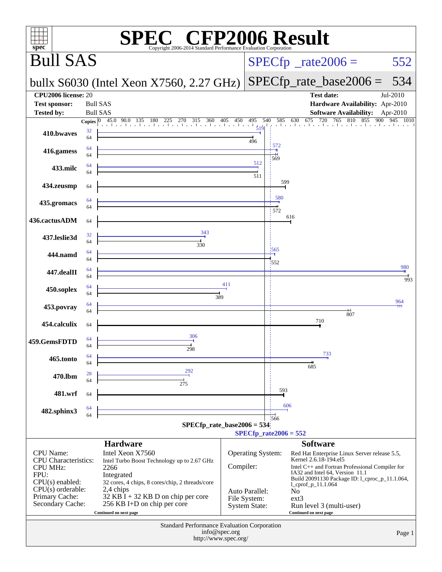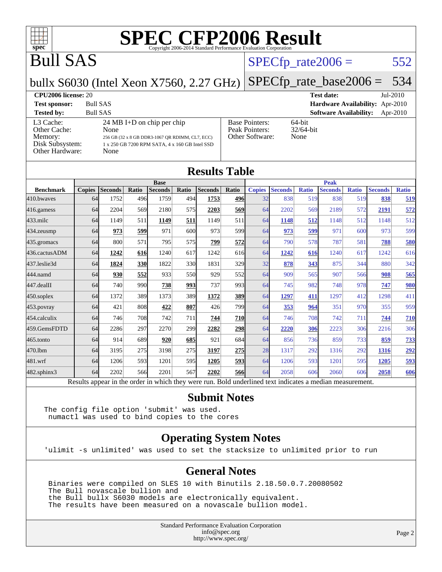

[Peak Pointers:](http://www.spec.org/auto/cpu2006/Docs/result-fields.html#PeakPointers)

[Other Software:](http://www.spec.org/auto/cpu2006/Docs/result-fields.html#OtherSoftware) None

## Bull SAS

#### $SPECTp_rate2006 = 552$

#### bullx S6030 (Intel Xeon X7560, 2.27 GHz)

**[CPU2006 license:](http://www.spec.org/auto/cpu2006/Docs/result-fields.html#CPU2006license)** 20 **[Test date:](http://www.spec.org/auto/cpu2006/Docs/result-fields.html#Testdate)** Jul-2010 **[Test sponsor:](http://www.spec.org/auto/cpu2006/Docs/result-fields.html#Testsponsor)** Bull SAS **[Hardware Availability:](http://www.spec.org/auto/cpu2006/Docs/result-fields.html#HardwareAvailability)** Apr-2010 **[Tested by:](http://www.spec.org/auto/cpu2006/Docs/result-fields.html#Testedby)** Bull SAS **[Software Availability:](http://www.spec.org/auto/cpu2006/Docs/result-fields.html#SoftwareAvailability)** Apr-2010 [Base Pointers:](http://www.spec.org/auto/cpu2006/Docs/result-fields.html#BasePointers) 64-bit<br>Peak Pointers: 32/64-bit

[SPECfp\\_rate\\_base2006 =](http://www.spec.org/auto/cpu2006/Docs/result-fields.html#SPECfpratebase2006) 534

#### [L3 Cache:](http://www.spec.org/auto/cpu2006/Docs/result-fields.html#L3Cache) 24 MB I+D on chip per chip<br>Other Cache: None [Other Cache:](http://www.spec.org/auto/cpu2006/Docs/result-fields.html#OtherCache) **[Memory:](http://www.spec.org/auto/cpu2006/Docs/result-fields.html#Memory)** 256 GB (32 x 8 GB DDR3-1067 QR RDIMM, CL7, ECC) [Disk Subsystem:](http://www.spec.org/auto/cpu2006/Docs/result-fields.html#DiskSubsystem) 1 x 250 GB 7200 RPM SATA, 4 x 160 GB Intel SSD [Other Hardware:](http://www.spec.org/auto/cpu2006/Docs/result-fields.html#OtherHardware) None

| <b>Results Table</b> |               |                                                                                                                      |              |                                                                                                                         |       |                                                                                                                                  |             |                                                                                                                         |                |              |                                                                        |                                                                                                                          |                                                                                                                  |
|----------------------|---------------|----------------------------------------------------------------------------------------------------------------------|--------------|-------------------------------------------------------------------------------------------------------------------------|-------|----------------------------------------------------------------------------------------------------------------------------------|-------------|-------------------------------------------------------------------------------------------------------------------------|----------------|--------------|------------------------------------------------------------------------|--------------------------------------------------------------------------------------------------------------------------|------------------------------------------------------------------------------------------------------------------|
| <b>Base</b>          |               |                                                                                                                      |              |                                                                                                                         |       |                                                                                                                                  | <b>Peak</b> |                                                                                                                         |                |              |                                                                        |                                                                                                                          |                                                                                                                  |
|                      |               |                                                                                                                      |              |                                                                                                                         |       |                                                                                                                                  |             |                                                                                                                         |                |              |                                                                        |                                                                                                                          | <b>Ratio</b>                                                                                                     |
|                      | 1752          |                                                                                                                      | 1759         |                                                                                                                         | 1753  | 496                                                                                                                              | 32          | 838                                                                                                                     |                | 838          |                                                                        | 838                                                                                                                      | 519                                                                                                              |
|                      | 2204          |                                                                                                                      | 2180         |                                                                                                                         | 2203  |                                                                                                                                  | 64          | 2202                                                                                                                    | 569            | 2189         |                                                                        | 2191                                                                                                                     | 572                                                                                                              |
|                      | 1149          | 511                                                                                                                  | 1149         | 511                                                                                                                     | 1149  | 511                                                                                                                              | 64          | 1148                                                                                                                    | 512            | 1148         |                                                                        | 1148                                                                                                                     | 512                                                                                                              |
|                      | 973           |                                                                                                                      | 971          |                                                                                                                         | 973   |                                                                                                                                  | 64          | 973                                                                                                                     | 599            | 971          |                                                                        | 973                                                                                                                      | 599                                                                                                              |
|                      | 800           |                                                                                                                      | 795          |                                                                                                                         | 799   |                                                                                                                                  | 64          | 790                                                                                                                     |                | 787          | 581                                                                    | 788                                                                                                                      | 580                                                                                                              |
|                      | 1242          |                                                                                                                      | 1240         |                                                                                                                         | 1242  |                                                                                                                                  | 64          | 1242                                                                                                                    |                | 1240         |                                                                        | 1242                                                                                                                     | 616                                                                                                              |
|                      | 1824          |                                                                                                                      | 1822         |                                                                                                                         | 1831  |                                                                                                                                  | 32          | 878                                                                                                                     | 343            | 875          |                                                                        | 880                                                                                                                      | 342                                                                                                              |
|                      | 930           |                                                                                                                      | 933          |                                                                                                                         | 929   |                                                                                                                                  | 64          | 909                                                                                                                     |                | 907          |                                                                        | 908                                                                                                                      | 565                                                                                                              |
|                      | 740           |                                                                                                                      | 738          |                                                                                                                         | 737   |                                                                                                                                  | 64          | 745                                                                                                                     | 982            | 748          |                                                                        | 747                                                                                                                      | 980                                                                                                              |
|                      | 1372          |                                                                                                                      | 1373         |                                                                                                                         | 1372  | 389                                                                                                                              | 64          | 1297                                                                                                                    | 411            | 1297         |                                                                        | 1298                                                                                                                     | 411                                                                                                              |
|                      | 421           |                                                                                                                      | 422          |                                                                                                                         | 426   |                                                                                                                                  | 64          | 353                                                                                                                     | 964            | 351          |                                                                        | 355                                                                                                                      | 959                                                                                                              |
|                      | 746           |                                                                                                                      | 742          |                                                                                                                         | 744   |                                                                                                                                  | 64          | 746                                                                                                                     |                | 742          | 711                                                                    | 744                                                                                                                      | 710                                                                                                              |
|                      | 2286          |                                                                                                                      | 2270         |                                                                                                                         | 2282  |                                                                                                                                  | 64          | 2220                                                                                                                    | 306            | 2223         |                                                                        | 2216                                                                                                                     | 306                                                                                                              |
|                      | 914           |                                                                                                                      | 920          |                                                                                                                         | 921   |                                                                                                                                  | 64          | 856                                                                                                                     |                | 859          |                                                                        | 859                                                                                                                      | 733                                                                                                              |
|                      | 3195          |                                                                                                                      | 3198         |                                                                                                                         | 3197  |                                                                                                                                  | 28          | 1317                                                                                                                    | 292            | 1316         | 292                                                                    | 1316                                                                                                                     | 292                                                                                                              |
|                      | 1206          |                                                                                                                      | 1201         |                                                                                                                         | 1205  |                                                                                                                                  | 64          | 1206                                                                                                                    |                | 1201         |                                                                        | 1205                                                                                                                     | 593                                                                                                              |
|                      | 2202          |                                                                                                                      | 2201         |                                                                                                                         | 2202  | 566                                                                                                                              | 64          | 2058                                                                                                                    |                | 2060         |                                                                        | 2058                                                                                                                     | 606                                                                                                              |
|                      | <b>Copies</b> | <b>Seconds</b><br>64<br>64<br>64<br>64<br>64<br>64<br>64<br>64<br>64<br>64<br>64<br>64<br>64<br>64<br>64<br>64<br>64 | Ratio<br>571 | <b>Seconds</b><br>496<br>569<br>599<br>616<br>330<br>552<br>990<br>389<br>808<br>708<br>297<br>689<br>275<br>593<br>566 | Ratio | <b>Seconds</b><br>494<br>575<br>600l<br>575<br>617<br>330<br>550<br>993<br>389I<br>807<br>711<br>299<br>685<br>275<br>595<br>567 | Ratio       | <b>Copies</b><br>569<br>599<br>572<br>616<br>329I<br>552<br>993<br>799<br><b>710</b><br>298<br>684<br>275<br><u>593</u> | <b>Seconds</b> | <b>Ratio</b> | <b>Seconds</b><br>519<br>578<br>616<br>565<br>708<br>736<br>593<br>606 | <b>Ratio</b><br>Results appear in the order in which they were run. Bold underlined text indicates a median measurement. | <b>Seconds</b><br>519<br>572<br>512<br>600<br>617<br>344<br>566<br>978<br>412<br>970<br>306<br>733<br>595<br>606 |

#### **[Submit Notes](http://www.spec.org/auto/cpu2006/Docs/result-fields.html#SubmitNotes)**

The config file option 'submit' was used. numactl was used to bind copies to the cores

#### **[Operating System Notes](http://www.spec.org/auto/cpu2006/Docs/result-fields.html#OperatingSystemNotes)**

'ulimit -s unlimited' was used to set the stacksize to unlimited prior to run

#### **[General Notes](http://www.spec.org/auto/cpu2006/Docs/result-fields.html#GeneralNotes)**

 Binaries were compiled on SLES 10 with Binutils 2.18.50.0.7.20080502 The Bull novascale bullion and the Bull bullx S6030 models are electronically equivalent. The results have been measured on a novascale bullion model.

> Standard Performance Evaluation Corporation [info@spec.org](mailto:info@spec.org) <http://www.spec.org/>

Page 2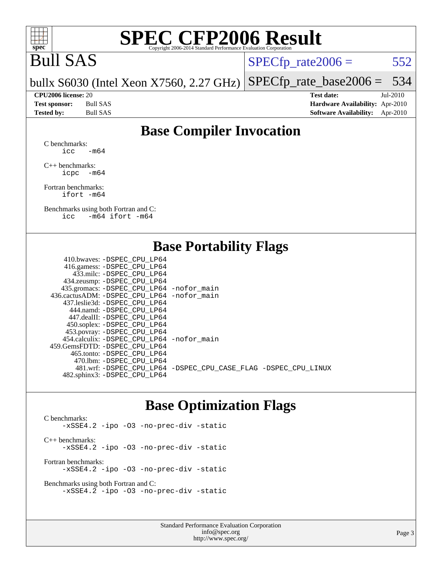

## Bull SAS

 $SPECTp_rate2006 = 552$ 

bullx S6030 (Intel Xeon X7560, 2.27 GHz) [SPECfp\\_rate\\_base2006 =](http://www.spec.org/auto/cpu2006/Docs/result-fields.html#SPECfpratebase2006) 534

**[CPU2006 license:](http://www.spec.org/auto/cpu2006/Docs/result-fields.html#CPU2006license)** 20 **[Test date:](http://www.spec.org/auto/cpu2006/Docs/result-fields.html#Testdate)** Jul-2010 **[Test sponsor:](http://www.spec.org/auto/cpu2006/Docs/result-fields.html#Testsponsor)** Bull SAS **[Hardware Availability:](http://www.spec.org/auto/cpu2006/Docs/result-fields.html#HardwareAvailability)** Apr-2010 **[Tested by:](http://www.spec.org/auto/cpu2006/Docs/result-fields.html#Testedby)** Bull SAS **[Software Availability:](http://www.spec.org/auto/cpu2006/Docs/result-fields.html#SoftwareAvailability)** Apr-2010

### **[Base Compiler Invocation](http://www.spec.org/auto/cpu2006/Docs/result-fields.html#BaseCompilerInvocation)**

[C benchmarks](http://www.spec.org/auto/cpu2006/Docs/result-fields.html#Cbenchmarks):  $\text{icc}$  -m64

[C++ benchmarks:](http://www.spec.org/auto/cpu2006/Docs/result-fields.html#CXXbenchmarks) [icpc -m64](http://www.spec.org/cpu2006/results/res2010q3/cpu2006-20100719-12572.flags.html#user_CXXbase_intel_icpc_64bit_bedb90c1146cab66620883ef4f41a67e)

[Fortran benchmarks](http://www.spec.org/auto/cpu2006/Docs/result-fields.html#Fortranbenchmarks): [ifort -m64](http://www.spec.org/cpu2006/results/res2010q3/cpu2006-20100719-12572.flags.html#user_FCbase_intel_ifort_64bit_ee9d0fb25645d0210d97eb0527dcc06e)

[Benchmarks using both Fortran and C](http://www.spec.org/auto/cpu2006/Docs/result-fields.html#BenchmarksusingbothFortranandC): [icc -m64](http://www.spec.org/cpu2006/results/res2010q3/cpu2006-20100719-12572.flags.html#user_CC_FCbase_intel_icc_64bit_0b7121f5ab7cfabee23d88897260401c) [ifort -m64](http://www.spec.org/cpu2006/results/res2010q3/cpu2006-20100719-12572.flags.html#user_CC_FCbase_intel_ifort_64bit_ee9d0fb25645d0210d97eb0527dcc06e)

### **[Base Portability Flags](http://www.spec.org/auto/cpu2006/Docs/result-fields.html#BasePortabilityFlags)**

| 416.gamess: -DSPEC_CPU_LP64                                    |
|----------------------------------------------------------------|
|                                                                |
| 433.milc: -DSPEC CPU LP64                                      |
| 434.zeusmp: -DSPEC_CPU_LP64                                    |
| 435.gromacs: -DSPEC_CPU_LP64 -nofor_main                       |
| 436.cactusADM: - DSPEC CPU LP64 - nofor main                   |
| 437.leslie3d: -DSPEC CPU LP64                                  |
| 444.namd: - DSPEC CPU LP64                                     |
| 447.dealII: -DSPEC_CPU LP64                                    |
| 450.soplex: -DSPEC_CPU_LP64                                    |
| 453.povray: -DSPEC_CPU_LP64                                    |
| 454.calculix: - DSPEC CPU LP64 - nofor main                    |
| 459.GemsFDTD: -DSPEC_CPU LP64                                  |
| 465.tonto: - DSPEC_CPU LP64                                    |
| 470.1bm: -DSPEC CPU LP64                                       |
| 481.wrf: -DSPEC CPU_LP64 -DSPEC_CPU_CASE_FLAG -DSPEC_CPU_LINUX |
| 482.sphinx3: -DSPEC_CPU_LP64                                   |

### **[Base Optimization Flags](http://www.spec.org/auto/cpu2006/Docs/result-fields.html#BaseOptimizationFlags)**

[C benchmarks](http://www.spec.org/auto/cpu2006/Docs/result-fields.html#Cbenchmarks): [-xSSE4.2](http://www.spec.org/cpu2006/results/res2010q3/cpu2006-20100719-12572.flags.html#user_CCbase_f-xSSE42_f91528193cf0b216347adb8b939d4107) [-ipo](http://www.spec.org/cpu2006/results/res2010q3/cpu2006-20100719-12572.flags.html#user_CCbase_f-ipo) [-O3](http://www.spec.org/cpu2006/results/res2010q3/cpu2006-20100719-12572.flags.html#user_CCbase_f-O3) [-no-prec-div](http://www.spec.org/cpu2006/results/res2010q3/cpu2006-20100719-12572.flags.html#user_CCbase_f-no-prec-div) [-static](http://www.spec.org/cpu2006/results/res2010q3/cpu2006-20100719-12572.flags.html#user_CCbase_f-static) [C++ benchmarks:](http://www.spec.org/auto/cpu2006/Docs/result-fields.html#CXXbenchmarks) [-xSSE4.2](http://www.spec.org/cpu2006/results/res2010q3/cpu2006-20100719-12572.flags.html#user_CXXbase_f-xSSE42_f91528193cf0b216347adb8b939d4107) [-ipo](http://www.spec.org/cpu2006/results/res2010q3/cpu2006-20100719-12572.flags.html#user_CXXbase_f-ipo) [-O3](http://www.spec.org/cpu2006/results/res2010q3/cpu2006-20100719-12572.flags.html#user_CXXbase_f-O3) [-no-prec-div](http://www.spec.org/cpu2006/results/res2010q3/cpu2006-20100719-12572.flags.html#user_CXXbase_f-no-prec-div) [-static](http://www.spec.org/cpu2006/results/res2010q3/cpu2006-20100719-12572.flags.html#user_CXXbase_f-static) [Fortran benchmarks](http://www.spec.org/auto/cpu2006/Docs/result-fields.html#Fortranbenchmarks): [-xSSE4.2](http://www.spec.org/cpu2006/results/res2010q3/cpu2006-20100719-12572.flags.html#user_FCbase_f-xSSE42_f91528193cf0b216347adb8b939d4107) [-ipo](http://www.spec.org/cpu2006/results/res2010q3/cpu2006-20100719-12572.flags.html#user_FCbase_f-ipo) [-O3](http://www.spec.org/cpu2006/results/res2010q3/cpu2006-20100719-12572.flags.html#user_FCbase_f-O3) [-no-prec-div](http://www.spec.org/cpu2006/results/res2010q3/cpu2006-20100719-12572.flags.html#user_FCbase_f-no-prec-div) [-static](http://www.spec.org/cpu2006/results/res2010q3/cpu2006-20100719-12572.flags.html#user_FCbase_f-static)

[Benchmarks using both Fortran and C](http://www.spec.org/auto/cpu2006/Docs/result-fields.html#BenchmarksusingbothFortranandC): [-xSSE4.2](http://www.spec.org/cpu2006/results/res2010q3/cpu2006-20100719-12572.flags.html#user_CC_FCbase_f-xSSE42_f91528193cf0b216347adb8b939d4107) [-ipo](http://www.spec.org/cpu2006/results/res2010q3/cpu2006-20100719-12572.flags.html#user_CC_FCbase_f-ipo) [-O3](http://www.spec.org/cpu2006/results/res2010q3/cpu2006-20100719-12572.flags.html#user_CC_FCbase_f-O3) [-no-prec-div](http://www.spec.org/cpu2006/results/res2010q3/cpu2006-20100719-12572.flags.html#user_CC_FCbase_f-no-prec-div) [-static](http://www.spec.org/cpu2006/results/res2010q3/cpu2006-20100719-12572.flags.html#user_CC_FCbase_f-static)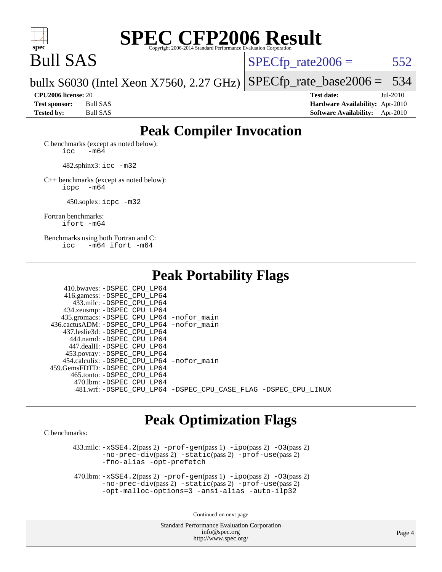

## Bull SAS

 $SPECTp\_rate2006 = 552$ 

bullx S6030 (Intel Xeon X7560, 2.27 GHz) [SPECfp\\_rate\\_base2006 =](http://www.spec.org/auto/cpu2006/Docs/result-fields.html#SPECfpratebase2006) 534

**[CPU2006 license:](http://www.spec.org/auto/cpu2006/Docs/result-fields.html#CPU2006license)** 20 **[Test date:](http://www.spec.org/auto/cpu2006/Docs/result-fields.html#Testdate)** Jul-2010 **[Test sponsor:](http://www.spec.org/auto/cpu2006/Docs/result-fields.html#Testsponsor)** Bull SAS **[Hardware Availability:](http://www.spec.org/auto/cpu2006/Docs/result-fields.html#HardwareAvailability)** Apr-2010 **[Tested by:](http://www.spec.org/auto/cpu2006/Docs/result-fields.html#Testedby)** Bull SAS **[Software Availability:](http://www.spec.org/auto/cpu2006/Docs/result-fields.html#SoftwareAvailability)** Apr-2010

### **[Peak Compiler Invocation](http://www.spec.org/auto/cpu2006/Docs/result-fields.html#PeakCompilerInvocation)**

[C benchmarks \(except as noted below\)](http://www.spec.org/auto/cpu2006/Docs/result-fields.html#Cbenchmarksexceptasnotedbelow):  $\text{icc}$   $-\text{m64}$ 

482.sphinx3: [icc -m32](http://www.spec.org/cpu2006/results/res2010q3/cpu2006-20100719-12572.flags.html#user_peakCCLD482_sphinx3_intel_icc_32bit_a6a621f8d50482236b970c6ac5f55f93)

[C++ benchmarks \(except as noted below\):](http://www.spec.org/auto/cpu2006/Docs/result-fields.html#CXXbenchmarksexceptasnotedbelow) [icpc -m64](http://www.spec.org/cpu2006/results/res2010q3/cpu2006-20100719-12572.flags.html#user_CXXpeak_intel_icpc_64bit_bedb90c1146cab66620883ef4f41a67e)

450.soplex: [icpc -m32](http://www.spec.org/cpu2006/results/res2010q3/cpu2006-20100719-12572.flags.html#user_peakCXXLD450_soplex_intel_icpc_32bit_4e5a5ef1a53fd332b3c49e69c3330699)

[Fortran benchmarks](http://www.spec.org/auto/cpu2006/Docs/result-fields.html#Fortranbenchmarks): [ifort -m64](http://www.spec.org/cpu2006/results/res2010q3/cpu2006-20100719-12572.flags.html#user_FCpeak_intel_ifort_64bit_ee9d0fb25645d0210d97eb0527dcc06e)

[Benchmarks using both Fortran and C](http://www.spec.org/auto/cpu2006/Docs/result-fields.html#BenchmarksusingbothFortranandC): [icc -m64](http://www.spec.org/cpu2006/results/res2010q3/cpu2006-20100719-12572.flags.html#user_CC_FCpeak_intel_icc_64bit_0b7121f5ab7cfabee23d88897260401c) [ifort -m64](http://www.spec.org/cpu2006/results/res2010q3/cpu2006-20100719-12572.flags.html#user_CC_FCpeak_intel_ifort_64bit_ee9d0fb25645d0210d97eb0527dcc06e)

**[Peak Portability Flags](http://www.spec.org/auto/cpu2006/Docs/result-fields.html#PeakPortabilityFlags)**

| 410.bwaves: -DSPEC CPU LP64                                    |  |
|----------------------------------------------------------------|--|
| 416.gamess: -DSPEC_CPU_LP64                                    |  |
| 433.milc: -DSPEC CPU LP64                                      |  |
| 434.zeusmp: -DSPEC_CPU_LP64                                    |  |
| 435.gromacs: -DSPEC_CPU_LP64 -nofor_main                       |  |
| 436.cactusADM: -DSPEC CPU LP64 -nofor main                     |  |
| 437.leslie3d: -DSPEC CPU LP64                                  |  |
| 444.namd: -DSPEC CPU LP64                                      |  |
| 447.dealII: -DSPEC CPU LP64                                    |  |
| 453.povray: -DSPEC_CPU_LP64                                    |  |
| 454.calculix: - DSPEC CPU LP64 - nofor main                    |  |
| 459. GemsFDTD: - DSPEC CPU LP64                                |  |
| 465.tonto: -DSPEC CPU LP64                                     |  |
| 470.1bm: - DSPEC_CPU_LP64                                      |  |
| 481.wrf: -DSPEC_CPU_LP64 -DSPEC_CPU_CASE_FLAG -DSPEC_CPU_LINUX |  |

### **[Peak Optimization Flags](http://www.spec.org/auto/cpu2006/Docs/result-fields.html#PeakOptimizationFlags)**

[C benchmarks](http://www.spec.org/auto/cpu2006/Docs/result-fields.html#Cbenchmarks):

 $433 \text{.}$ milc:  $-xSSE4$ .  $2(\text{pass 2})$  - $\text{prof-gen}(\text{pass 1})$  - $\text{ipo}(\text{pass 2})$  - $03(\text{pass 2})$ [-no-prec-div](http://www.spec.org/cpu2006/results/res2010q3/cpu2006-20100719-12572.flags.html#user_peakPASS2_CFLAGSPASS2_LDFLAGS433_milc_f-no-prec-div)(pass 2) [-static](http://www.spec.org/cpu2006/results/res2010q3/cpu2006-20100719-12572.flags.html#user_peakPASS2_CFLAGSPASS2_LDFLAGS433_milc_f-static)(pass 2) [-prof-use](http://www.spec.org/cpu2006/results/res2010q3/cpu2006-20100719-12572.flags.html#user_peakPASS2_CFLAGSPASS2_LDFLAGS433_milc_prof_use_bccf7792157ff70d64e32fe3e1250b55)(pass 2) [-fno-alias](http://www.spec.org/cpu2006/results/res2010q3/cpu2006-20100719-12572.flags.html#user_peakOPTIMIZE433_milc_f-no-alias_694e77f6c5a51e658e82ccff53a9e63a) [-opt-prefetch](http://www.spec.org/cpu2006/results/res2010q3/cpu2006-20100719-12572.flags.html#user_peakOPTIMIZE433_milc_f-opt-prefetch)

 470.lbm: [-xSSE4.2](http://www.spec.org/cpu2006/results/res2010q3/cpu2006-20100719-12572.flags.html#user_peakPASS2_CFLAGSPASS2_LDFLAGS470_lbm_f-xSSE42_f91528193cf0b216347adb8b939d4107)(pass 2) [-prof-gen](http://www.spec.org/cpu2006/results/res2010q3/cpu2006-20100719-12572.flags.html#user_peakPASS1_CFLAGSPASS1_LDFLAGS470_lbm_prof_gen_e43856698f6ca7b7e442dfd80e94a8fc)(pass 1) [-ipo](http://www.spec.org/cpu2006/results/res2010q3/cpu2006-20100719-12572.flags.html#user_peakPASS2_CFLAGSPASS2_LDFLAGS470_lbm_f-ipo)(pass 2) [-O3](http://www.spec.org/cpu2006/results/res2010q3/cpu2006-20100719-12572.flags.html#user_peakPASS2_CFLAGSPASS2_LDFLAGS470_lbm_f-O3)(pass 2) [-no-prec-div](http://www.spec.org/cpu2006/results/res2010q3/cpu2006-20100719-12572.flags.html#user_peakPASS2_CFLAGSPASS2_LDFLAGS470_lbm_f-no-prec-div)(pass 2) [-static](http://www.spec.org/cpu2006/results/res2010q3/cpu2006-20100719-12572.flags.html#user_peakPASS2_CFLAGSPASS2_LDFLAGS470_lbm_f-static)(pass 2) [-prof-use](http://www.spec.org/cpu2006/results/res2010q3/cpu2006-20100719-12572.flags.html#user_peakPASS2_CFLAGSPASS2_LDFLAGS470_lbm_prof_use_bccf7792157ff70d64e32fe3e1250b55)(pass 2) [-opt-malloc-options=3](http://www.spec.org/cpu2006/results/res2010q3/cpu2006-20100719-12572.flags.html#user_peakOPTIMIZE470_lbm_f-opt-malloc-options_13ab9b803cf986b4ee62f0a5998c2238) [-ansi-alias](http://www.spec.org/cpu2006/results/res2010q3/cpu2006-20100719-12572.flags.html#user_peakOPTIMIZE470_lbm_f-ansi-alias) [-auto-ilp32](http://www.spec.org/cpu2006/results/res2010q3/cpu2006-20100719-12572.flags.html#user_peakCOPTIMIZE470_lbm_f-auto-ilp32)

Continued on next page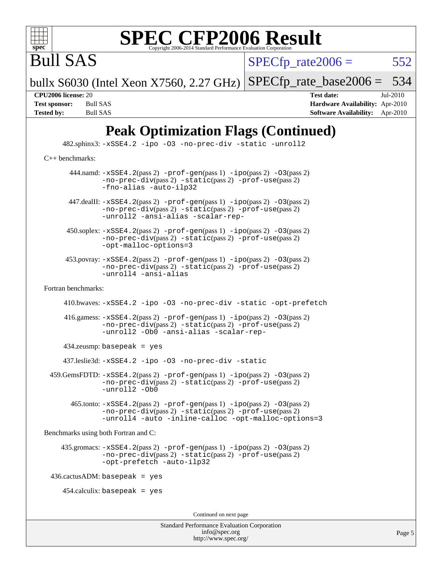

Bull SAS

 $SPECTp\_rate2006 = 552$ 

bullx S6030 (Intel Xeon X7560, 2.27 GHz) [SPECfp\\_rate\\_base2006 =](http://www.spec.org/auto/cpu2006/Docs/result-fields.html#SPECfpratebase2006)  $534$ 

**[CPU2006 license:](http://www.spec.org/auto/cpu2006/Docs/result-fields.html#CPU2006license)** 20 **[Test date:](http://www.spec.org/auto/cpu2006/Docs/result-fields.html#Testdate)** Jul-2010 **[Test sponsor:](http://www.spec.org/auto/cpu2006/Docs/result-fields.html#Testsponsor)** Bull SAS **[Hardware Availability:](http://www.spec.org/auto/cpu2006/Docs/result-fields.html#HardwareAvailability)** Apr-2010 **[Tested by:](http://www.spec.org/auto/cpu2006/Docs/result-fields.html#Testedby)** Bull SAS **[Software Availability:](http://www.spec.org/auto/cpu2006/Docs/result-fields.html#SoftwareAvailability)** Apr-2010

## **[Peak Optimization Flags \(Continued\)](http://www.spec.org/auto/cpu2006/Docs/result-fields.html#PeakOptimizationFlags)**

 482.sphinx3: [-xSSE4.2](http://www.spec.org/cpu2006/results/res2010q3/cpu2006-20100719-12572.flags.html#user_peakOPTIMIZE482_sphinx3_f-xSSE42_f91528193cf0b216347adb8b939d4107) [-ipo](http://www.spec.org/cpu2006/results/res2010q3/cpu2006-20100719-12572.flags.html#user_peakOPTIMIZE482_sphinx3_f-ipo) [-O3](http://www.spec.org/cpu2006/results/res2010q3/cpu2006-20100719-12572.flags.html#user_peakOPTIMIZE482_sphinx3_f-O3) [-no-prec-div](http://www.spec.org/cpu2006/results/res2010q3/cpu2006-20100719-12572.flags.html#user_peakOPTIMIZE482_sphinx3_f-no-prec-div) [-static](http://www.spec.org/cpu2006/results/res2010q3/cpu2006-20100719-12572.flags.html#user_peakOPTIMIZE482_sphinx3_f-static) [-unroll2](http://www.spec.org/cpu2006/results/res2010q3/cpu2006-20100719-12572.flags.html#user_peakCOPTIMIZE482_sphinx3_f-unroll_784dae83bebfb236979b41d2422d7ec2) [C++ benchmarks:](http://www.spec.org/auto/cpu2006/Docs/result-fields.html#CXXbenchmarks) 444.namd:  $-xSSE4$ . 2(pass 2)  $-prof-gen(pass 1) -ipo(pass 2) -O3(pass 2)$  $-prof-gen(pass 1) -ipo(pass 2) -O3(pass 2)$  $-prof-gen(pass 1) -ipo(pass 2) -O3(pass 2)$  $-prof-gen(pass 1) -ipo(pass 2) -O3(pass 2)$  $-prof-gen(pass 1) -ipo(pass 2) -O3(pass 2)$  $-prof-gen(pass 1) -ipo(pass 2) -O3(pass 2)$ [-no-prec-div](http://www.spec.org/cpu2006/results/res2010q3/cpu2006-20100719-12572.flags.html#user_peakPASS2_CXXFLAGSPASS2_LDFLAGS444_namd_f-no-prec-div)(pass 2) [-static](http://www.spec.org/cpu2006/results/res2010q3/cpu2006-20100719-12572.flags.html#user_peakPASS2_CXXFLAGSPASS2_LDFLAGS444_namd_f-static)(pass 2) [-prof-use](http://www.spec.org/cpu2006/results/res2010q3/cpu2006-20100719-12572.flags.html#user_peakPASS2_CXXFLAGSPASS2_LDFLAGS444_namd_prof_use_bccf7792157ff70d64e32fe3e1250b55)(pass 2) [-fno-alias](http://www.spec.org/cpu2006/results/res2010q3/cpu2006-20100719-12572.flags.html#user_peakCXXOPTIMIZE444_namd_f-no-alias_694e77f6c5a51e658e82ccff53a9e63a) [-auto-ilp32](http://www.spec.org/cpu2006/results/res2010q3/cpu2006-20100719-12572.flags.html#user_peakCXXOPTIMIZE444_namd_f-auto-ilp32) 447.dealII: [-xSSE4.2](http://www.spec.org/cpu2006/results/res2010q3/cpu2006-20100719-12572.flags.html#user_peakPASS2_CXXFLAGSPASS2_LDFLAGS447_dealII_f-xSSE42_f91528193cf0b216347adb8b939d4107)(pass 2) [-prof-gen](http://www.spec.org/cpu2006/results/res2010q3/cpu2006-20100719-12572.flags.html#user_peakPASS1_CXXFLAGSPASS1_LDFLAGS447_dealII_prof_gen_e43856698f6ca7b7e442dfd80e94a8fc)(pass 1) [-ipo](http://www.spec.org/cpu2006/results/res2010q3/cpu2006-20100719-12572.flags.html#user_peakPASS2_CXXFLAGSPASS2_LDFLAGS447_dealII_f-ipo)(pass 2) [-O3](http://www.spec.org/cpu2006/results/res2010q3/cpu2006-20100719-12572.flags.html#user_peakPASS2_CXXFLAGSPASS2_LDFLAGS447_dealII_f-O3)(pass 2) [-no-prec-div](http://www.spec.org/cpu2006/results/res2010q3/cpu2006-20100719-12572.flags.html#user_peakPASS2_CXXFLAGSPASS2_LDFLAGS447_dealII_f-no-prec-div)(pass 2) [-static](http://www.spec.org/cpu2006/results/res2010q3/cpu2006-20100719-12572.flags.html#user_peakPASS2_CXXFLAGSPASS2_LDFLAGS447_dealII_f-static)(pass 2) [-prof-use](http://www.spec.org/cpu2006/results/res2010q3/cpu2006-20100719-12572.flags.html#user_peakPASS2_CXXFLAGSPASS2_LDFLAGS447_dealII_prof_use_bccf7792157ff70d64e32fe3e1250b55)(pass 2) [-unroll2](http://www.spec.org/cpu2006/results/res2010q3/cpu2006-20100719-12572.flags.html#user_peakCXXOPTIMIZE447_dealII_f-unroll_784dae83bebfb236979b41d2422d7ec2) [-ansi-alias](http://www.spec.org/cpu2006/results/res2010q3/cpu2006-20100719-12572.flags.html#user_peakCXXOPTIMIZE447_dealII_f-ansi-alias) [-scalar-rep-](http://www.spec.org/cpu2006/results/res2010q3/cpu2006-20100719-12572.flags.html#user_peakCXXOPTIMIZE447_dealII_f-disablescalarrep_abbcad04450fb118e4809c81d83c8a1d)  $450.\text{soplex: } -x\text{SSE4}.2(\text{pass 2}) -\text{prof-gen}(\text{pass 1}) - \text{ipo}(\text{pass 2}) -03(\text{pass 2})$ [-no-prec-div](http://www.spec.org/cpu2006/results/res2010q3/cpu2006-20100719-12572.flags.html#user_peakPASS2_CXXFLAGSPASS2_LDFLAGS450_soplex_f-no-prec-div)(pass 2) [-static](http://www.spec.org/cpu2006/results/res2010q3/cpu2006-20100719-12572.flags.html#user_peakPASS2_CXXFLAGSPASS2_LDFLAGS450_soplex_f-static)(pass 2) [-prof-use](http://www.spec.org/cpu2006/results/res2010q3/cpu2006-20100719-12572.flags.html#user_peakPASS2_CXXFLAGSPASS2_LDFLAGS450_soplex_prof_use_bccf7792157ff70d64e32fe3e1250b55)(pass 2) [-opt-malloc-options=3](http://www.spec.org/cpu2006/results/res2010q3/cpu2006-20100719-12572.flags.html#user_peakOPTIMIZE450_soplex_f-opt-malloc-options_13ab9b803cf986b4ee62f0a5998c2238) 453.povray: [-xSSE4.2](http://www.spec.org/cpu2006/results/res2010q3/cpu2006-20100719-12572.flags.html#user_peakPASS2_CXXFLAGSPASS2_LDFLAGS453_povray_f-xSSE42_f91528193cf0b216347adb8b939d4107)(pass 2) [-prof-gen](http://www.spec.org/cpu2006/results/res2010q3/cpu2006-20100719-12572.flags.html#user_peakPASS1_CXXFLAGSPASS1_LDFLAGS453_povray_prof_gen_e43856698f6ca7b7e442dfd80e94a8fc)(pass 1) [-ipo](http://www.spec.org/cpu2006/results/res2010q3/cpu2006-20100719-12572.flags.html#user_peakPASS2_CXXFLAGSPASS2_LDFLAGS453_povray_f-ipo)(pass 2) [-O3](http://www.spec.org/cpu2006/results/res2010q3/cpu2006-20100719-12572.flags.html#user_peakPASS2_CXXFLAGSPASS2_LDFLAGS453_povray_f-O3)(pass 2) [-no-prec-div](http://www.spec.org/cpu2006/results/res2010q3/cpu2006-20100719-12572.flags.html#user_peakPASS2_CXXFLAGSPASS2_LDFLAGS453_povray_f-no-prec-div)(pass 2) [-static](http://www.spec.org/cpu2006/results/res2010q3/cpu2006-20100719-12572.flags.html#user_peakPASS2_CXXFLAGSPASS2_LDFLAGS453_povray_f-static)(pass 2) [-prof-use](http://www.spec.org/cpu2006/results/res2010q3/cpu2006-20100719-12572.flags.html#user_peakPASS2_CXXFLAGSPASS2_LDFLAGS453_povray_prof_use_bccf7792157ff70d64e32fe3e1250b55)(pass 2) [-unroll4](http://www.spec.org/cpu2006/results/res2010q3/cpu2006-20100719-12572.flags.html#user_peakCXXOPTIMIZE453_povray_f-unroll_4e5e4ed65b7fd20bdcd365bec371b81f) [-ansi-alias](http://www.spec.org/cpu2006/results/res2010q3/cpu2006-20100719-12572.flags.html#user_peakCXXOPTIMIZE453_povray_f-ansi-alias) [Fortran benchmarks](http://www.spec.org/auto/cpu2006/Docs/result-fields.html#Fortranbenchmarks): 410.bwaves: [-xSSE4.2](http://www.spec.org/cpu2006/results/res2010q3/cpu2006-20100719-12572.flags.html#user_peakOPTIMIZE410_bwaves_f-xSSE42_f91528193cf0b216347adb8b939d4107) [-ipo](http://www.spec.org/cpu2006/results/res2010q3/cpu2006-20100719-12572.flags.html#user_peakOPTIMIZE410_bwaves_f-ipo) [-O3](http://www.spec.org/cpu2006/results/res2010q3/cpu2006-20100719-12572.flags.html#user_peakOPTIMIZE410_bwaves_f-O3) [-no-prec-div](http://www.spec.org/cpu2006/results/res2010q3/cpu2006-20100719-12572.flags.html#user_peakOPTIMIZE410_bwaves_f-no-prec-div) [-static](http://www.spec.org/cpu2006/results/res2010q3/cpu2006-20100719-12572.flags.html#user_peakOPTIMIZE410_bwaves_f-static) [-opt-prefetch](http://www.spec.org/cpu2006/results/res2010q3/cpu2006-20100719-12572.flags.html#user_peakOPTIMIZE410_bwaves_f-opt-prefetch) 416.gamess: [-xSSE4.2](http://www.spec.org/cpu2006/results/res2010q3/cpu2006-20100719-12572.flags.html#user_peakPASS2_FFLAGSPASS2_LDFLAGS416_gamess_f-xSSE42_f91528193cf0b216347adb8b939d4107)(pass 2) [-prof-gen](http://www.spec.org/cpu2006/results/res2010q3/cpu2006-20100719-12572.flags.html#user_peakPASS1_FFLAGSPASS1_LDFLAGS416_gamess_prof_gen_e43856698f6ca7b7e442dfd80e94a8fc)(pass 1) [-ipo](http://www.spec.org/cpu2006/results/res2010q3/cpu2006-20100719-12572.flags.html#user_peakPASS2_FFLAGSPASS2_LDFLAGS416_gamess_f-ipo)(pass 2) [-O3](http://www.spec.org/cpu2006/results/res2010q3/cpu2006-20100719-12572.flags.html#user_peakPASS2_FFLAGSPASS2_LDFLAGS416_gamess_f-O3)(pass 2) [-no-prec-div](http://www.spec.org/cpu2006/results/res2010q3/cpu2006-20100719-12572.flags.html#user_peakPASS2_FFLAGSPASS2_LDFLAGS416_gamess_f-no-prec-div)(pass 2) [-static](http://www.spec.org/cpu2006/results/res2010q3/cpu2006-20100719-12572.flags.html#user_peakPASS2_FFLAGSPASS2_LDFLAGS416_gamess_f-static)(pass 2) [-prof-use](http://www.spec.org/cpu2006/results/res2010q3/cpu2006-20100719-12572.flags.html#user_peakPASS2_FFLAGSPASS2_LDFLAGS416_gamess_prof_use_bccf7792157ff70d64e32fe3e1250b55)(pass 2) [-unroll2](http://www.spec.org/cpu2006/results/res2010q3/cpu2006-20100719-12572.flags.html#user_peakOPTIMIZE416_gamess_f-unroll_784dae83bebfb236979b41d2422d7ec2) [-Ob0](http://www.spec.org/cpu2006/results/res2010q3/cpu2006-20100719-12572.flags.html#user_peakOPTIMIZE416_gamess_f-Ob_n_fbe6f6428adb7d4b74b1e99bb2444c2d) [-ansi-alias](http://www.spec.org/cpu2006/results/res2010q3/cpu2006-20100719-12572.flags.html#user_peakOPTIMIZE416_gamess_f-ansi-alias) [-scalar-rep-](http://www.spec.org/cpu2006/results/res2010q3/cpu2006-20100719-12572.flags.html#user_peakOPTIMIZE416_gamess_f-disablescalarrep_abbcad04450fb118e4809c81d83c8a1d) 434.zeusmp: basepeak = yes 437.leslie3d: [-xSSE4.2](http://www.spec.org/cpu2006/results/res2010q3/cpu2006-20100719-12572.flags.html#user_peakOPTIMIZE437_leslie3d_f-xSSE42_f91528193cf0b216347adb8b939d4107) [-ipo](http://www.spec.org/cpu2006/results/res2010q3/cpu2006-20100719-12572.flags.html#user_peakOPTIMIZE437_leslie3d_f-ipo) [-O3](http://www.spec.org/cpu2006/results/res2010q3/cpu2006-20100719-12572.flags.html#user_peakOPTIMIZE437_leslie3d_f-O3) [-no-prec-div](http://www.spec.org/cpu2006/results/res2010q3/cpu2006-20100719-12572.flags.html#user_peakOPTIMIZE437_leslie3d_f-no-prec-div) [-static](http://www.spec.org/cpu2006/results/res2010q3/cpu2006-20100719-12572.flags.html#user_peakOPTIMIZE437_leslie3d_f-static)  $459.GemsFDTD: -xSSE4.2(pass 2) -prof-qen(pass 1) -ipo(pass 2) -O3(pass 2)$  $459.GemsFDTD: -xSSE4.2(pass 2) -prof-qen(pass 1) -ipo(pass 2) -O3(pass 2)$  $459.GemsFDTD: -xSSE4.2(pass 2) -prof-qen(pass 1) -ipo(pass 2) -O3(pass 2)$  $459.GemsFDTD: -xSSE4.2(pass 2) -prof-qen(pass 1) -ipo(pass 2) -O3(pass 2)$  $459.GemsFDTD: -xSSE4.2(pass 2) -prof-qen(pass 1) -ipo(pass 2) -O3(pass 2)$  $459.GemsFDTD: -xSSE4.2(pass 2) -prof-qen(pass 1) -ipo(pass 2) -O3(pass 2)$  $459.GemsFDTD: -xSSE4.2(pass 2) -prof-qen(pass 1) -ipo(pass 2) -O3(pass 2)$ [-no-prec-div](http://www.spec.org/cpu2006/results/res2010q3/cpu2006-20100719-12572.flags.html#user_peakPASS2_FFLAGSPASS2_LDFLAGS459_GemsFDTD_f-no-prec-div)(pass 2) [-static](http://www.spec.org/cpu2006/results/res2010q3/cpu2006-20100719-12572.flags.html#user_peakPASS2_FFLAGSPASS2_LDFLAGS459_GemsFDTD_f-static)(pass 2) [-prof-use](http://www.spec.org/cpu2006/results/res2010q3/cpu2006-20100719-12572.flags.html#user_peakPASS2_FFLAGSPASS2_LDFLAGS459_GemsFDTD_prof_use_bccf7792157ff70d64e32fe3e1250b55)(pass 2) [-unroll2](http://www.spec.org/cpu2006/results/res2010q3/cpu2006-20100719-12572.flags.html#user_peakOPTIMIZE459_GemsFDTD_f-unroll_784dae83bebfb236979b41d2422d7ec2) [-Ob0](http://www.spec.org/cpu2006/results/res2010q3/cpu2006-20100719-12572.flags.html#user_peakOPTIMIZE459_GemsFDTD_f-Ob_n_fbe6f6428adb7d4b74b1e99bb2444c2d) 465.tonto: [-xSSE4.2](http://www.spec.org/cpu2006/results/res2010q3/cpu2006-20100719-12572.flags.html#user_peakPASS2_FFLAGSPASS2_LDFLAGS465_tonto_f-xSSE42_f91528193cf0b216347adb8b939d4107)(pass 2) [-prof-gen](http://www.spec.org/cpu2006/results/res2010q3/cpu2006-20100719-12572.flags.html#user_peakPASS1_FFLAGSPASS1_LDFLAGS465_tonto_prof_gen_e43856698f6ca7b7e442dfd80e94a8fc)(pass 1) [-ipo](http://www.spec.org/cpu2006/results/res2010q3/cpu2006-20100719-12572.flags.html#user_peakPASS2_FFLAGSPASS2_LDFLAGS465_tonto_f-ipo)(pass 2) [-O3](http://www.spec.org/cpu2006/results/res2010q3/cpu2006-20100719-12572.flags.html#user_peakPASS2_FFLAGSPASS2_LDFLAGS465_tonto_f-O3)(pass 2) [-no-prec-div](http://www.spec.org/cpu2006/results/res2010q3/cpu2006-20100719-12572.flags.html#user_peakPASS2_FFLAGSPASS2_LDFLAGS465_tonto_f-no-prec-div)(pass 2) [-static](http://www.spec.org/cpu2006/results/res2010q3/cpu2006-20100719-12572.flags.html#user_peakPASS2_FFLAGSPASS2_LDFLAGS465_tonto_f-static)(pass 2) [-prof-use](http://www.spec.org/cpu2006/results/res2010q3/cpu2006-20100719-12572.flags.html#user_peakPASS2_FFLAGSPASS2_LDFLAGS465_tonto_prof_use_bccf7792157ff70d64e32fe3e1250b55)(pass 2) [-unroll4](http://www.spec.org/cpu2006/results/res2010q3/cpu2006-20100719-12572.flags.html#user_peakOPTIMIZE465_tonto_f-unroll_4e5e4ed65b7fd20bdcd365bec371b81f) [-auto](http://www.spec.org/cpu2006/results/res2010q3/cpu2006-20100719-12572.flags.html#user_peakOPTIMIZE465_tonto_f-auto) [-inline-calloc](http://www.spec.org/cpu2006/results/res2010q3/cpu2006-20100719-12572.flags.html#user_peakOPTIMIZE465_tonto_f-inline-calloc) [-opt-malloc-options=3](http://www.spec.org/cpu2006/results/res2010q3/cpu2006-20100719-12572.flags.html#user_peakOPTIMIZE465_tonto_f-opt-malloc-options_13ab9b803cf986b4ee62f0a5998c2238) [Benchmarks using both Fortran and C](http://www.spec.org/auto/cpu2006/Docs/result-fields.html#BenchmarksusingbothFortranandC):  $435.\text{gromacs: } -xSSE4.2(\text{pass 2}) -\text{prof-gen}(\text{pass 1}) - \text{ipo}(\text{pass 2}) -03(\text{pass 2})$  $435.\text{gromacs: } -xSSE4.2(\text{pass 2}) -\text{prof-gen}(\text{pass 1}) - \text{ipo}(\text{pass 2}) -03(\text{pass 2})$  $435.\text{gromacs: } -xSSE4.2(\text{pass 2}) -\text{prof-gen}(\text{pass 1}) - \text{ipo}(\text{pass 2}) -03(\text{pass 2})$ [-no-prec-div](http://www.spec.org/cpu2006/results/res2010q3/cpu2006-20100719-12572.flags.html#user_peakPASS2_CFLAGSPASS2_FFLAGSPASS2_LDFLAGS435_gromacs_f-no-prec-div)(pass 2) [-static](http://www.spec.org/cpu2006/results/res2010q3/cpu2006-20100719-12572.flags.html#user_peakPASS2_CFLAGSPASS2_FFLAGSPASS2_LDFLAGS435_gromacs_f-static)(pass 2) [-prof-use](http://www.spec.org/cpu2006/results/res2010q3/cpu2006-20100719-12572.flags.html#user_peakPASS2_CFLAGSPASS2_FFLAGSPASS2_LDFLAGS435_gromacs_prof_use_bccf7792157ff70d64e32fe3e1250b55)(pass 2) [-opt-prefetch](http://www.spec.org/cpu2006/results/res2010q3/cpu2006-20100719-12572.flags.html#user_peakOPTIMIZE435_gromacs_f-opt-prefetch) [-auto-ilp32](http://www.spec.org/cpu2006/results/res2010q3/cpu2006-20100719-12572.flags.html#user_peakCOPTIMIZE435_gromacs_f-auto-ilp32)  $436.cactusADM:basepeak = yes$  $454$ .calculix: basepeak = yes Continued on next page